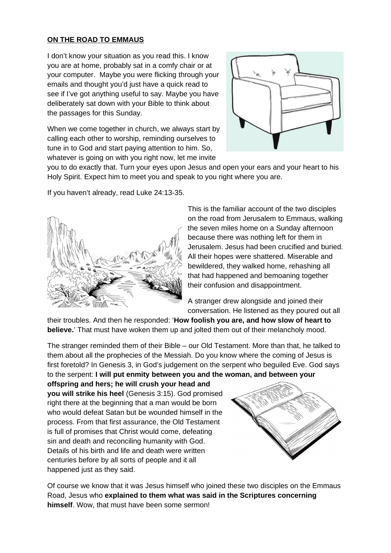## **ON THE ROAD TO EMMAUS**

I don't know your situation as you read this. I know you are at home, probably sat in a comfy chair or at your computer. Maybe you were flicking through your emails and thought you'd just have a quick read to see if I've got anything useful to say. Maybe you have deliberately sat down with your Bible to think about the passages for this Sunday.

When we come together in church, we always start by calling each other to worship, reminding ourselves to tune in to God and start paying attention to him. So, whatever is going on with you right now, let me invite



you to do exactly that. Turn your eyes upon Jesus and open your ears and your heart to his Holy Spirit. Expect him to meet you and speak to you right where you are.

If you haven't already, read Luke 24:13-35.



This is the familiar account of the two disciples on the road from Jerusalem to Emmaus, walking the seven miles home on a Sunday afternoon because there was nothing left for them in Jerusalem. Jesus had been crucified and buried. All their hopes were shattered. Miserable and bewildered, they walked home, rehashing all that had happened and bemoaning together their confusion and disappointment.

A stranger drew alongside and joined their conversation. He listened as they poured out all

their troubles. And then he responded: '**How foolish you are, and how slow of heart to believe.**' That must have woken them up and jolted them out of their melancholy mood.

The stranger reminded them of their Bible – our Old Testament. More than that, he talked to them about all the prophecies of the Messiah. Do you know where the coming of Jesus is first foretold? In Genesis 3, in God's judgement on the serpent who beguiled Eve. God says to the serpent: **I will put enmity between you and the woman, and between your** 

**offspring and hers; he will crush your head and you will strike his heel** (Genesis 3:15). God promised right there at the beginning that a man would be born who would defeat Satan but be wounded himself in the process. From that first assurance, the Old Testament is full of promises that Christ would come, defeating sin and death and reconciling humanity with God. Details of his birth and life and death were written centuries before by all sorts of people and it all happened just as they said.



Of course we know that it was Jesus himself who joined these two disciples on the Emmaus Road, Jesus who **explained to them what was said in the Scriptures concerning himself**. Wow, that must have been some sermon!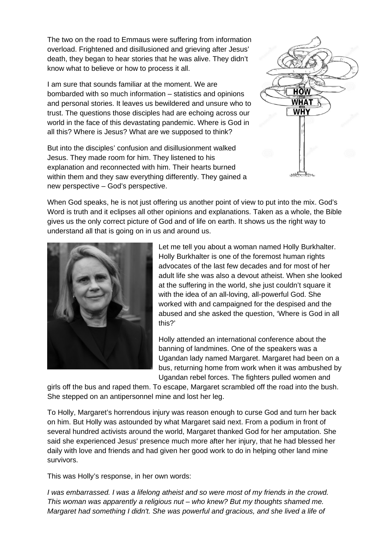The two on the road to Emmaus were suffering from information overload. Frightened and disillusioned and grieving after Jesus' death, they began to hear stories that he was alive. They didn't know what to believe or how to process it all.

I am sure that sounds familiar at the moment. We are bombarded with so much information – statistics and opinions and personal stories. It leaves us bewildered and unsure who to trust. The questions those disciples had are echoing across our world in the face of this devastating pandemic. Where is God in all this? Where is Jesus? What are we supposed to think?

But into the disciples' confusion and disillusionment walked Jesus. They made room for him. They listened to his explanation and reconnected with him. Their hearts burned within them and they saw everything differently. They gained a new perspective – God's perspective.



When God speaks, he is not just offering us another point of view to put into the mix. God's Word is truth and it eclipses all other opinions and explanations. Taken as a whole, the Bible gives us the only correct picture of God and of life on earth. It shows us the right way to understand all that is going on in us and around us.



Let me tell you about a woman named Holly Burkhalter. Holly Burkhalter is one of the foremost human rights advocates of the last few decades and for most of her adult life she was also a devout atheist. When she looked at the suffering in the world, she just couldn't square it with the idea of an all-loving, all-powerful God. She worked with and campaigned for the despised and the abused and she asked the question, 'Where is God in all this?'

Holly attended an international conference about the banning of landmines. One of the speakers was a Ugandan lady named Margaret. Margaret had been on a bus, returning home from work when it was ambushed by Ugandan rebel forces. The fighters pulled women and

girls off the bus and raped them. To escape, Margaret scrambled off the road into the bush. She stepped on an antipersonnel mine and lost her leg.

To Holly, Margaret's horrendous injury was reason enough to curse God and turn her back on him. But Holly was astounded by what Margaret said next. From a podium in front of several hundred activists around the world, Margaret thanked God for her amputation. She said she experienced Jesus' presence much more after her injury, that he had blessed her daily with love and friends and had given her good work to do in helping other land mine survivors.

This was Holly's response, in her own words:

*I was embarrassed. I was a lifelong atheist and so were most of my friends in the crowd. This woman was apparently a religious nut – who knew? But my thoughts shamed me. Margaret had something I didn't. She was powerful and gracious, and she lived a life of*